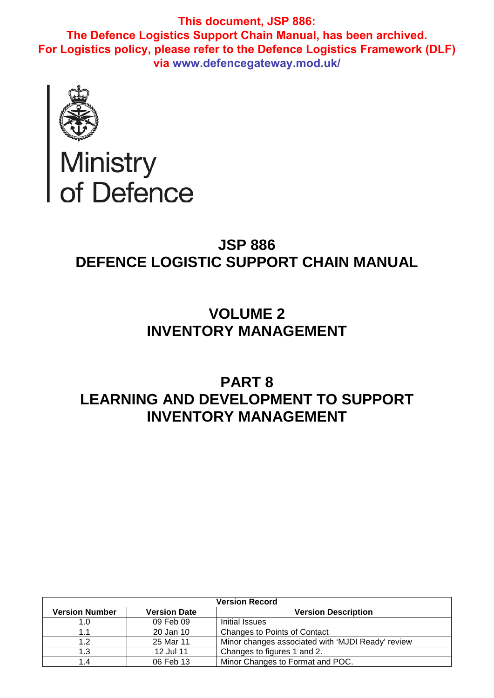

# Ministry<br>of Defence

# **JSP 886 DEFENCE LOGISTIC SUPPORT CHAIN MANUAL**

# **VOLUME 2 INVENTORY MANAGEMENT**

# **PART 8 LEARNING AND DEVELOPMENT TO SUPPORT INVENTORY MANAGEMENT**

| <b>Version Record</b> |                     |                                                   |  |
|-----------------------|---------------------|---------------------------------------------------|--|
| <b>Version Number</b> | <b>Version Date</b> | <b>Version Description</b>                        |  |
| 1.0                   | 09 Feb 09           | Initial Issues                                    |  |
|                       | 20 Jan 10           | <b>Changes to Points of Contact</b>               |  |
| 1.2                   | 25 Mar 11           | Minor changes associated with 'MJDI Ready' review |  |
| 1.3                   | 12 Jul 11           | Changes to figures 1 and 2.                       |  |
| 1.4                   | 06 Feb 13           | Minor Changes to Format and POC.                  |  |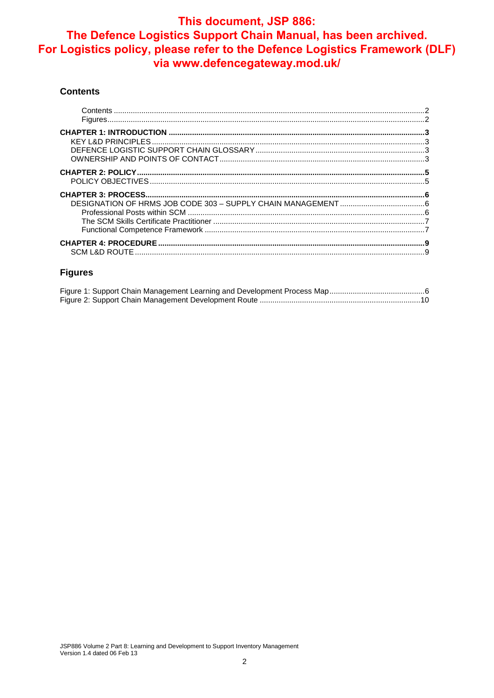#### **Contents**

#### **Figures**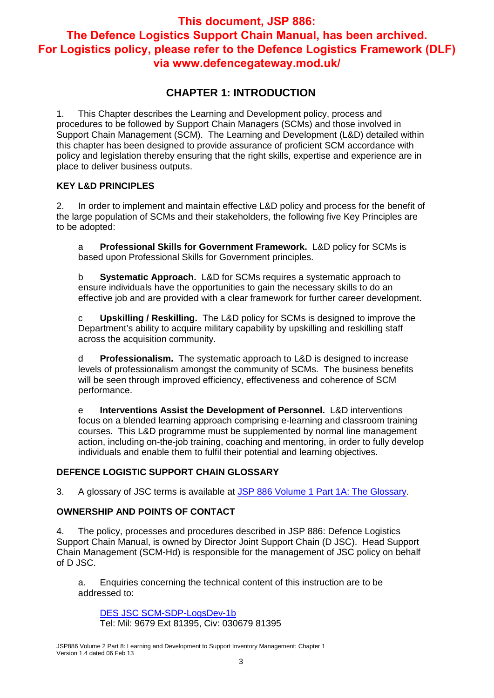## **CHAPTER 1: INTRODUCTION**

1. This Chapter describes the Learning and Development policy, process and procedures to be followed by Support Chain Managers (SCMs) and those involved in Support Chain Management (SCM). The Learning and Development (L&D) detailed within this chapter has been designed to provide assurance of proficient SCM accordance with policy and legislation thereby ensuring that the right skills, expertise and experience are in place to deliver business outputs.

#### **KEY L&D PRINCIPLES**

2. In order to implement and maintain effective L&D policy and process for the benefit of the large population of SCMs and their stakeholders, the following five Key Principles are to be adopted:

a **Professional Skills for Government Framework.** L&D policy for SCMs is based upon Professional Skills for Government principles.

b **Systematic Approach.** L&D for SCMs requires a systematic approach to ensure individuals have the opportunities to gain the necessary skills to do an effective job and are provided with a clear framework for further career development.

c **Upskilling / Reskilling.** The L&D policy for SCMs is designed to improve the Department's ability to acquire military capability by upskilling and reskilling staff across the acquisition community.

d **Professionalism.** The systematic approach to L&D is designed to increase levels of professionalism amongst the community of SCMs. The business benefits will be seen through improved efficiency, effectiveness and coherence of SCM performance.

e **Interventions Assist the Development of Personnel.** L&D interventions focus on a blended learning approach comprising e-learning and classroom training courses. This L&D programme must be supplemented by normal line management action, including on-the-job training, coaching and mentoring, in order to fully develop individuals and enable them to fulfil their potential and learning objectives.

#### **DEFENCE LOGISTIC SUPPORT CHAIN GLOSSARY**

3. A glossary of JSC terms is available at JSP 886 Volume 1 Part 1A: The Glossary.

#### **OWNERSHIP AND POINTS OF CONTACT**

4. The policy, processes and procedures described in JSP 886: Defence Logistics Support Chain Manual, is owned by Director Joint Support Chain (D JSC). Head Support Chain Management (SCM-Hd) is responsible for the management of JSC policy on behalf of D JSC.

a. Enquiries concerning the technical content of this instruction are to be addressed to:

DES JSC SCM-SDP-LogsDev-1b Tel: Mil: 9679 Ext 81395, Civ: 030679 81395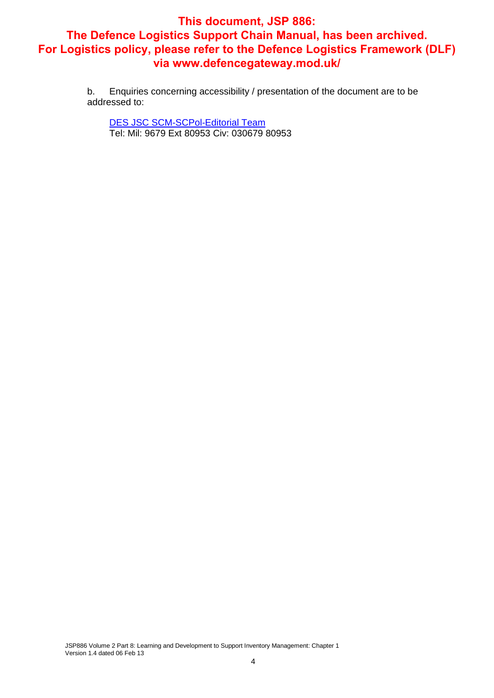b. Enquiries concerning accessibility / presentation of the document are to be addressed to:

DES JSC SCM-SCPol-Editorial Team Tel: Mil: 9679 Ext 80953 Civ: 030679 80953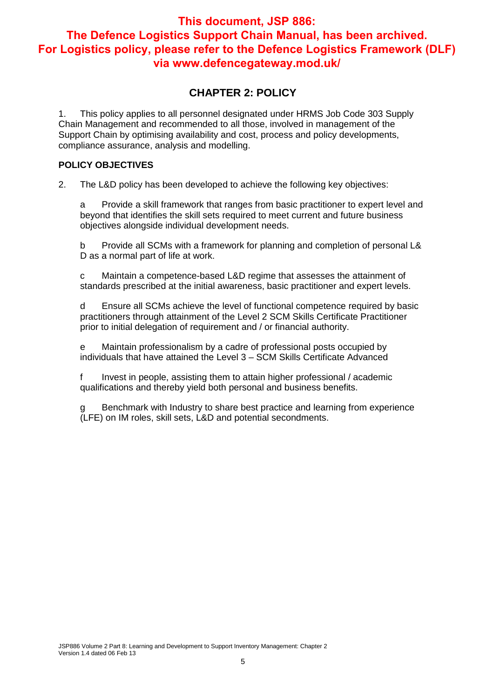## **CHAPTER 2: POLICY**

1. This policy applies to all personnel designated under HRMS Job Code 303 Supply Chain Management and recommended to all those, involved in management of the Support Chain by optimising availability and cost, process and policy developments, compliance assurance, analysis and modelling.

#### **POLICY OBJECTIVES**

2. The L&D policy has been developed to achieve the following key objectives:

a Provide a skill framework that ranges from basic practitioner to expert level and beyond that identifies the skill sets required to meet current and future business objectives alongside individual development needs.

b Provide all SCMs with a framework for planning and completion of personal L& D as a normal part of life at work.

c Maintain a competence-based L&D regime that assesses the attainment of standards prescribed at the initial awareness, basic practitioner and expert levels.

d Ensure all SCMs achieve the level of functional competence required by basic practitioners through attainment of the Level 2 SCM Skills Certificate Practitioner prior to initial delegation of requirement and / or financial authority.

e Maintain professionalism by a cadre of professional posts occupied by individuals that have attained the Level 3 – SCM Skills Certificate Advanced

f Invest in people, assisting them to attain higher professional / academic qualifications and thereby yield both personal and business benefits.

Benchmark with Industry to share best practice and learning from experience (LFE) on IM roles, skill sets, L&D and potential secondments.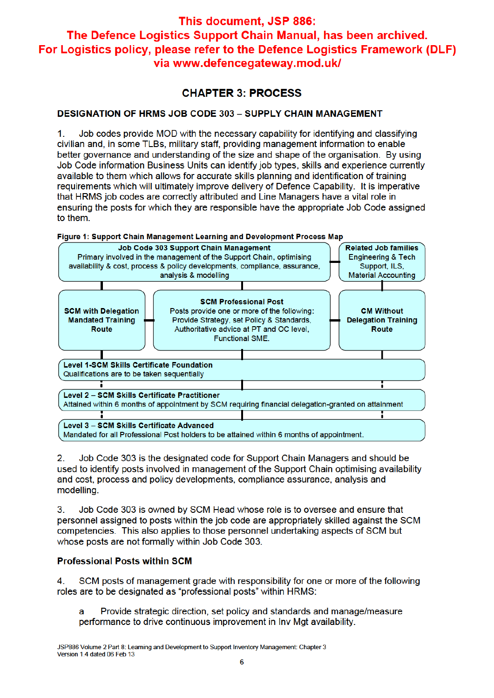## **CHAPTER 3: PROCESS**

## **DESIGNATION OF HRMS JOB CODE 303 - SUPPLY CHAIN MANAGEMENT**

Job codes provide MOD with the necessary capability for identifying and classifying  $\mathbf{1}$ civilian and, in some TLBs, military staff, providing management information to enable better governance and understanding of the size and shape of the organisation. By using Job Code information Business Units can identify job types, skills and experience currently available to them which allows for accurate skills planning and identification of training requirements which will ultimately improve delivery of Defence Capability. It is imperative that HRMS job codes are correctly attributed and Line Managers have a vital role in ensuring the posts for which they are responsible have the appropriate Job Code assigned to them.



 $2<sub>1</sub>$ Job Code 303 is the designated code for Support Chain Managers and should be used to identify posts involved in management of the Support Chain optimising availability and cost, process and policy developments, compliance assurance, analysis and modelling.

 $3.$ Job Code 303 is owned by SCM Head whose role is to oversee and ensure that personnel assigned to posts within the job code are appropriately skilled against the SCM competencies. This also applies to those personnel undertaking aspects of SCM but whose posts are not formally within Job Code 303.

## **Professional Posts within SCM**

SCM posts of management grade with responsibility for one or more of the following 4 roles are to be designated as "professional posts" within HRMS:

Provide strategic direction, set policy and standards and manage/measure a performance to drive continuous improvement in Inv Mgt availability.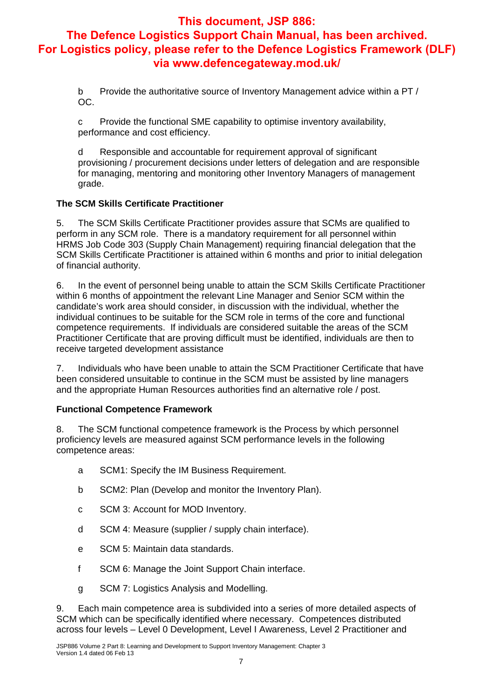b Provide the authoritative source of Inventory Management advice within a PT / OC.

c Provide the functional SME capability to optimise inventory availability, performance and cost efficiency.

d Responsible and accountable for requirement approval of significant provisioning / procurement decisions under letters of delegation and are responsible for managing, mentoring and monitoring other Inventory Managers of management grade.

#### **The SCM Skills Certificate Practitioner**

5. The SCM Skills Certificate Practitioner provides assure that SCMs are qualified to perform in any SCM role. There is a mandatory requirement for all personnel within HRMS Job Code 303 (Supply Chain Management) requiring financial delegation that the SCM Skills Certificate Practitioner is attained within 6 months and prior to initial delegation of financial authority.

6. In the event of personnel being unable to attain the SCM Skills Certificate Practitioner within 6 months of appointment the relevant Line Manager and Senior SCM within the candidate's work area should consider, in discussion with the individual, whether the individual continues to be suitable for the SCM role in terms of the core and functional competence requirements. If individuals are considered suitable the areas of the SCM Practitioner Certificate that are proving difficult must be identified, individuals are then to receive targeted development assistance

7. Individuals who have been unable to attain the SCM Practitioner Certificate that have been considered unsuitable to continue in the SCM must be assisted by line managers and the appropriate Human Resources authorities find an alternative role / post.

#### **Functional Competence Framework**

8. The SCM functional competence framework is the Process by which personnel proficiency levels are measured against SCM performance levels in the following competence areas:

- a SCM1: Specify the IM Business Requirement.
- b SCM2: Plan (Develop and monitor the Inventory Plan).
- c SCM 3: Account for MOD Inventory.
- d SCM 4: Measure (supplier / supply chain interface).
- e SCM 5: Maintain data standards.
- f SCM 6: Manage the Joint Support Chain interface.
- g SCM 7: Logistics Analysis and Modelling.

9. Each main competence area is subdivided into a series of more detailed aspects of SCM which can be specifically identified where necessary. Competences distributed across four levels – Level 0 Development, Level I Awareness, Level 2 Practitioner and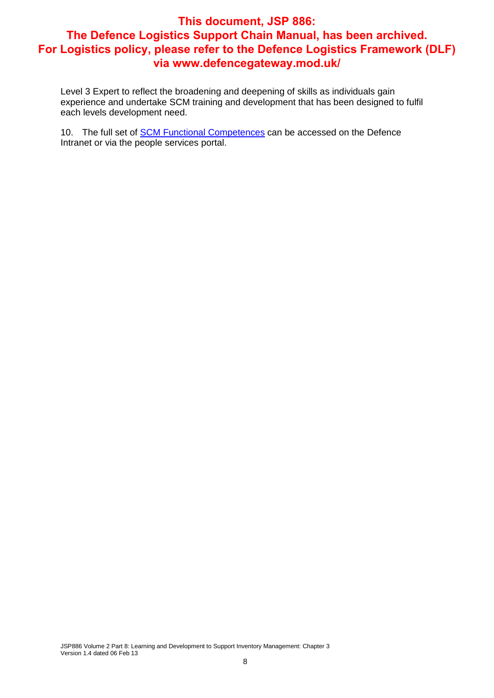Level 3 Expert to reflect the broadening and deepening of skills as individuals gain experience and undertake SCM training and development that has been designed to fulfil each levels development need.

10. The full set of SCM Functional Competences can be accessed on the Defence Intranet or via the people services portal.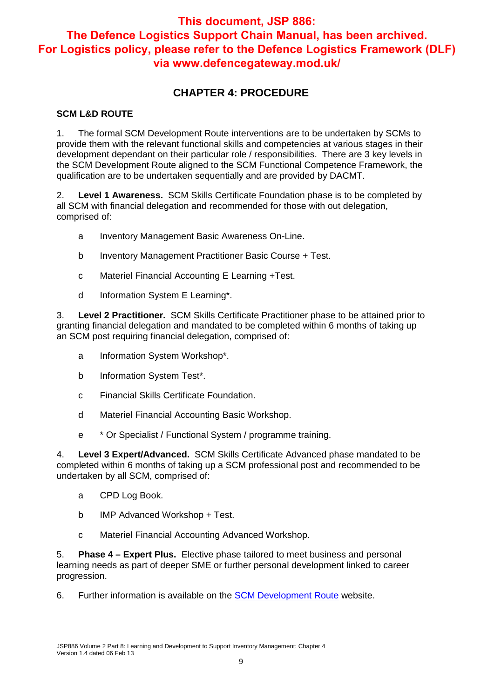## **CHAPTER 4: PROCEDURE**

#### **SCM L&D ROUTE**

1. The formal SCM Development Route interventions are to be undertaken by SCMs to provide them with the relevant functional skills and competencies at various stages in their development dependant on their particular role / responsibilities. There are 3 key levels in the SCM Development Route aligned to the SCM Functional Competence Framework, the qualification are to be undertaken sequentially and are provided by DACMT.

2. **Level 1 Awareness.** SCM Skills Certificate Foundation phase is to be completed by all SCM with financial delegation and recommended for those with out delegation, comprised of:

- a Inventory Management Basic Awareness On-Line.
- b Inventory Management Practitioner Basic Course + Test.
- c Materiel Financial Accounting E Learning +Test.
- d Information System E Learning\*.

3. **Level 2 Practitioner.** SCM Skills Certificate Practitioner phase to be attained prior to granting financial delegation and mandated to be completed within 6 months of taking up an SCM post requiring financial delegation, comprised of:

- a Information System Workshop\*.
- b Information System Test\*.
- c Financial Skills Certificate Foundation.
- d Materiel Financial Accounting Basic Workshop.
- e \* Or Specialist / Functional System / programme training.

4. **Level 3 Expert/Advanced.** SCM Skills Certificate Advanced phase mandated to be completed within 6 months of taking up a SCM professional post and recommended to be undertaken by all SCM, comprised of:

- a CPD Log Book.
- b IMP Advanced Workshop + Test.
- c Materiel Financial Accounting Advanced Workshop.

5. **Phase 4 – Expert Plus.** Elective phase tailored to meet business and personal learning needs as part of deeper SME or further personal development linked to career progression.

6. Further information is available on the SCM Development Route website.